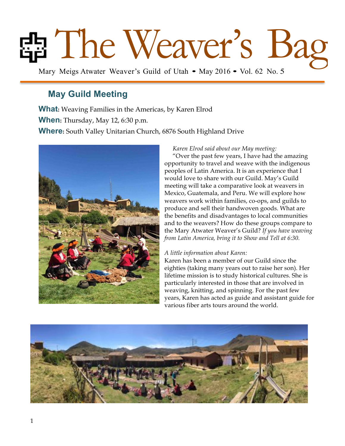# **Example 2018 12:30 Mary Meigs Atwater Weaver's Guild of Utah • May 2016 • Vol. 62 No. 5**

## **May Guild Meeting**

**What:** Weaving Families in the Americas, by Karen Elrod

**When:** Thursday, May 12, 6:30 p.m.

**Where:** South Valley Unitarian Church, 6876 South Highland Drive



*Karen Elrod said about our May meeting:* 

"Over the past few years, I have had the amazing opportunity to travel and weave with the indigenous peoples of Latin America. It is an experience that I would love to share with our Guild. May's Guild meeting will take a comparative look at weavers in Mexico, Guatemala, and Peru. We will explore how weavers work within families, co-ops, and guilds to produce and sell their handwoven goods. What are the benefits and disadvantages to local communities and to the weavers? How do these groups compare to the Mary Atwater Weaver's Guild? *If you have weaving from Latin America, bring it to Show and Tell at 6:30.*

#### *A little information about Karen:*

Karen has been a member of our Guild since the eighties (taking many years out to raise her son). Her lifetime mission is to study historical cultures. She is particularly interested in those that are involved in weaving, knitting, and spinning. For the past few years, Karen has acted as guide and assistant guide for various fiber arts tours around the world.

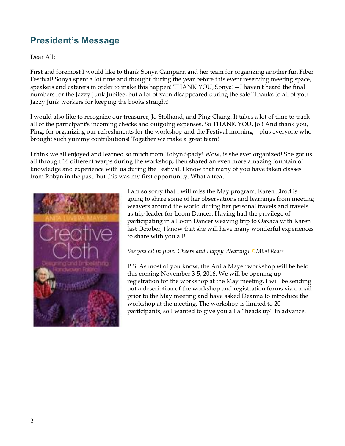# **President's Message**

Dear All:

First and foremost I would like to thank Sonya Campana and her team for organizing another fun Fiber Festival! Sonya spent a lot time and thought during the year before this event reserving meeting space, speakers and caterers in order to make this happen! THANK YOU, Sonya!—I haven't heard the final numbers for the Jazzy Junk Jubilee, but a lot of yarn disappeared during the sale! Thanks to all of you Jazzy Junk workers for keeping the books straight!

I would also like to recognize our treasurer, Jo Stolhand, and Ping Chang. It takes a lot of time to track all of the participant's incoming checks and outgoing expenses. So THANK YOU, Jo!! And thank you, Ping, for organizing our refreshments for the workshop and the Festival morning—plus everyone who brought such yummy contributions! Together we make a great team!

I think we all enjoyed and learned so much from Robyn Spady! Wow, is she ever organized! She got us all through 16 different warps during the workshop, then shared an even more amazing fountain of knowledge and experience with us during the Festival. I know that many of you have taken classes from Robyn in the past, but this was my first opportunity. What a treat!



I am so sorry that I will miss the May program. Karen Elrod is going to share some of her observations and learnings from meeting weavers around the world during her personal travels and travels as trip leader for Loom Dancer. Having had the privilege of participating in a Loom Dancer weaving trip to Oaxaca with Karen last October, I know that she will have many wonderful experiences to share with you all!

#### *See you all in June! Cheers and Happy Weaving!*  $\ddot{\varphi}$ *Mimi Rodes*

P.S. As most of you know, the Anita Mayer workshop will be held this coming November 3-5, 2016. We will be opening up registration for the workshop at the May meeting. I will be sending out a description of the workshop and registration forms via e-mail prior to the May meeting and have asked Deanna to introduce the workshop at the meeting. The workshop is limited to 20 participants, so I wanted to give you all a "heads up" in advance.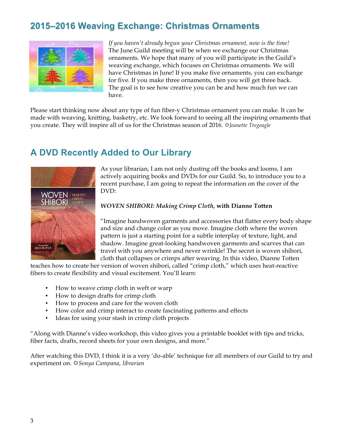# **2015–2016 Weaving Exchange: Christmas Ornaments**



*If you haven't already begun your Christmas ornament, now is the time!*  The June Guild meeting will be when we exchange our Christmas ornaments. We hope that many of you will participate in the Guild's weaving exchange, which focuses on Christmas ornaments. We will have Christmas in June! If you make five ornaments, you can exchange for five. If you make three ornaments, then you will get three back. The goal is to see how creative you can be and how much fun we can have.

Please start thinking now about any type of fun fiber-y Christmas ornament you can make. It can be made with weaving, knitting, basketry, etc. We look forward to seeing all the inspiring ornaments that you create. They will inspire all of us for the Christmas season of 2016.  $\Im$  *Jeanette Tregeagle* 

## **A DVD Recently Added to Our Library**



As your librarian, I am not only dusting off the books and looms, I am actively acquiring books and DVDs for our Guild. So, to introduce you to a recent purchase, I am going to repeat the information on the cover of the DVD:

#### *WOVEN SHIBORI: Making Crimp Cloth,* **with Dianne Totten**

"Imagine handwoven garments and accessories that flatter every body shape and size and change color as you move. Imagine cloth where the woven pattern is just a starting point for a subtle interplay of texture, light, and shadow. Imagine great-looking handwoven garments and scarves that can travel with you anywhere and never wrinkle! The secret is woven shibori, cloth that collapses or crimps after weaving. In this video, Dianne Totten

teaches how to create her version of woven shibori, called "crimp cloth," which uses heat-reactive fibers to create flexibility and visual excitement. You'll learn:

- How to weave crimp cloth in weft or warp
- How to design drafts for crimp cloth
- How to process and care for the woven cloth
- How color and crimp interact to create fascinating patterns and effects
- Ideas for using your stash in crimp cloth projects

"Along with Dianne's video workshop, this video gives you a printable booklet with tips and tricks, fiber facts, drafts, record sheets for your own designs, and more."

After watching this DVD, I think it is a very 'do-able' technique for all members of our Guild to try and experiment on. R*Sonya Campana, librarian*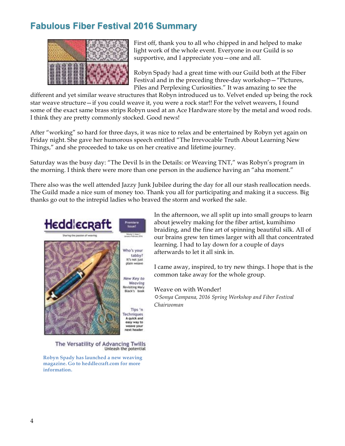## **Fabulous Fiber Festival 2016 Summary**



First off, thank you to all who chipped in and helped to make light work of the whole event. Everyone in our Guild is so supportive, and I appreciate you—one and all.

Robyn Spady had a great time with our Guild both at the Fiber Festival and in the preceding three-day workshop—"Pictures, Piles and Perplexing Curiosities." It was amazing to see the

different and yet similar weave structures that Robyn introduced us to. Velvet ended up being the rock star weave structure—if you could weave it, you were a rock star!! For the velvet weavers, I found some of the exact same brass strips Robyn used at an Ace Hardware store by the metal and wood rods. I think they are pretty commonly stocked. Good news!

After "working" so hard for three days, it was nice to relax and be entertained by Robyn yet again on Friday night. She gave her humorous speech entitled "The Irrevocable Truth About Learning New Things," and she proceeded to take us on her creative and lifetime journey.

Saturday was the busy day: "The Devil Is in the Details: or Weaving TNT," was Robyn's program in the morning. I think there were more than one person in the audience having an "aha moment."

There also was the well attended Jazzy Junk Jubilee during the day for all our stash reallocation needs. The Guild made a nice sum of money too. Thank you all for participating and making it a success. Big thanks go out to the intrepid ladies who braved the storm and worked the sale.



The Versatility of Advancing Twills Unleash the potential

**Robyn Spady has launched a new weaving magazine. Go to heddlecraft.com for more information.**

In the afternoon, we all split up into small groups to learn about jewelry making for the fiber artist, kumihimo braiding, and the fine art of spinning beautiful silk. All of our brains grew ten times larger with all that concentrated learning. I had to lay down for a couple of days afterwards to let it all sink in.

I came away, inspired, to try new things. I hope that is the common take away for the whole group.

Weave on with Wonder! R*Sonya Campana, 2016 Spring Workshop and Fiber Festival Chairwoman*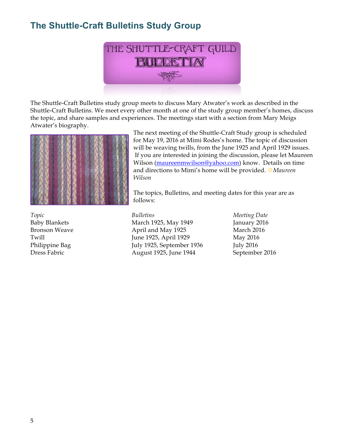# **The Shuttle-Craft Bulletins Study Group**



The Shuttle-Craft Bulletins study group meets to discuss Mary Atwater's work as described in the Shuttle-Craft Bulletins. We meet every other month at one of the study group member's homes, discuss the topic, and share samples and experiences. The meetings start with a section from Mary Meigs Atwater's biography.



The next meeting of the Shuttle-Craft Study group is scheduled for May 19, 2016 at Mimi Rodes's home. The topic of discussion will be weaving twills, from the June 1925 and April 1929 issues. If you are interested in joining the discussion, please let Maureen Wilson (maureenmwilson@yahoo.com) know. Details on time and directions to Mimi's home will be provided. R*Maureen Wilson*

The topics, Bulletins, and meeting dates for this year are as follows:

*Topic Bulletins Meeting Date* Baby Blankets March 1925, May 1949 January 2016 Bronson Weave **April and May 1925** March 2016 Twill **IVE 1925**, April 1929 May 2016 Philippine Bag July 1925, September 1936 July 2016 Dress Fabric August 1925, June 1944 September 2016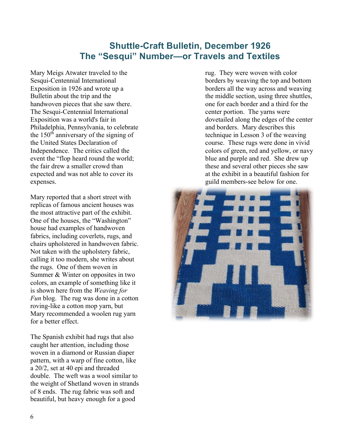## **Shuttle-Craft Bulletin, December 1926 The "Sesqui" Number—or Travels and Textiles**

Mary Meigs Atwater traveled to the Sesqui-Centennial International Exposition in 1926 and wrote up a Bulletin about the trip and the handwoven pieces that she saw there. The Sesqui-Centennial International Exposition was a world's fair in Philadelphia, Pennsylvania, to celebrate the  $150<sup>th</sup>$  anniversary of the signing of the United States Declaration of Independence. The critics called the event the "flop heard round the world; the fair drew a smaller crowd than expected and was not able to cover its expenses.

Mary reported that a short street with replicas of famous ancient houses was the most attractive part of the exhibit. One of the houses, the "Washington" house had examples of handwoven fabrics, including coverlets, rugs, and chairs upholstered in handwoven fabric. Not taken with the upholstery fabric, calling it too modern, she writes about the rugs. One of them woven in Summer & Winter on opposites in two colors, an example of something like it is shown here from the *Weaving for Fun* blog. The rug was done in a cotton roving-like a cotton mop yarn, but Mary recommended a woolen rug yarn for a better effect.

The Spanish exhibit had rugs that also caught her attention, including those woven in a diamond or Russian diaper pattern, with a warp of fine cotton, like a 20/2, set at 40 epi and threaded double. The weft was a wool similar to the weight of Shetland woven in strands of 8 ends. The rug fabric was soft and beautiful, but heavy enough for a good

rug. They were woven with color borders by weaving the top and bottom borders all the way across and weaving the middle section, using three shuttles, one for each border and a third for the center portion. The yarns were dovetailed along the edges of the center and borders. Mary describes this technique in Lesson 3 of the weaving course. These rugs were done in vivid colors of green, red and yellow, or navy blue and purple and red. She drew up these and several other pieces she saw at the exhibit in a beautiful fashion for guild members-see below for one.

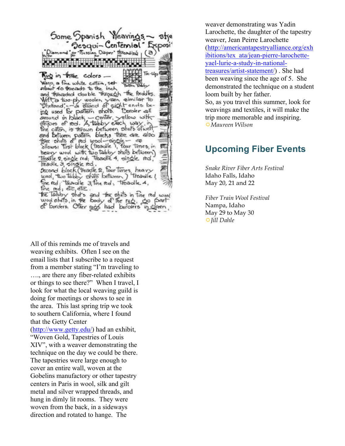Some Spanish Weavings Sesqui-Centennial and 'or Tussian Diaper' threading  $(a)$ Tie-Up Rug in three colors -Warp, a fine white cotton, set-<br>about 40 threads to the inch and threaded double through the freddles. Well a two-ply woolen yain aimilar to<br>"Shelland" - a diand of sight ends be-<br>ing used for politern shots. Doroker all amound in black - center, yellow with<br>otripes of red. A tabby each, way, in the caton, is thrown between shots of well-<br>and between pattern blocks there are also<br>there shots of red wool-single-<br>allows: Trist block (treadle i, four times, in<br>heavy wool with two tabby shots between) Treadle 2, single red; Treadle 4, single red; treadle 3 single red. Second block (treadle 2, Four times, heavy<br>wool, two tabby share between) treadle! fine red; treadle 3, fine red, treadle 4, fine red; etc. etc. the Tabby shots and the shots in the red wood<br>wood shots, in the foody of the rug, go point

All of this reminds me of travels and weaving exhibits. Often I see on the email lists that I subscribe to a request from a member stating "I'm traveling to …., are there any fiber-related exhibits or things to see there?" When I travel, I look for what the local weaving guild is doing for meetings or shows to see in the area. This last spring trip we took to southern California, where I found that the Getty Center (http://www.getty.edu/) had an exhibit,

"Woven Gold, Tapestries of Louis XIV", with a weaver demonstrating the technique on the day we could be there. The tapestries were large enough to cover an entire wall, woven at the Gobelins manufactory or other tapestry centers in Paris in wool, silk and gilt metal and silver wrapped threads, and hung in dimly lit rooms. They were woven from the back, in a sideways direction and rotated to hange. The

weaver demonstrating was Yadin Larochette, the daughter of the tapestry weaver, Jean Peirre Larochette (http://americantapestryalliance.org/exh ibitions/tex\_ata/jean-pierre-larochetteyael-lurie-a-study-in-nationaltreasures/artist-statement/) . She had been weaving since the age of 5. She demonstrated the technique on a student loom built by her father. So, as you travel this summer, look for weavings and textiles, it will make the trip more memorable and inspiring.

R*Maureen Wilson*

## **Upcoming Fiber Events**

*Snake River Fiber Arts Festival* Idaho Falls, Idaho May 20, 21 and 22

*Fiber Train Wool Festival* Nampa, Idaho May 29 to May 30 R*Jill Dahle*